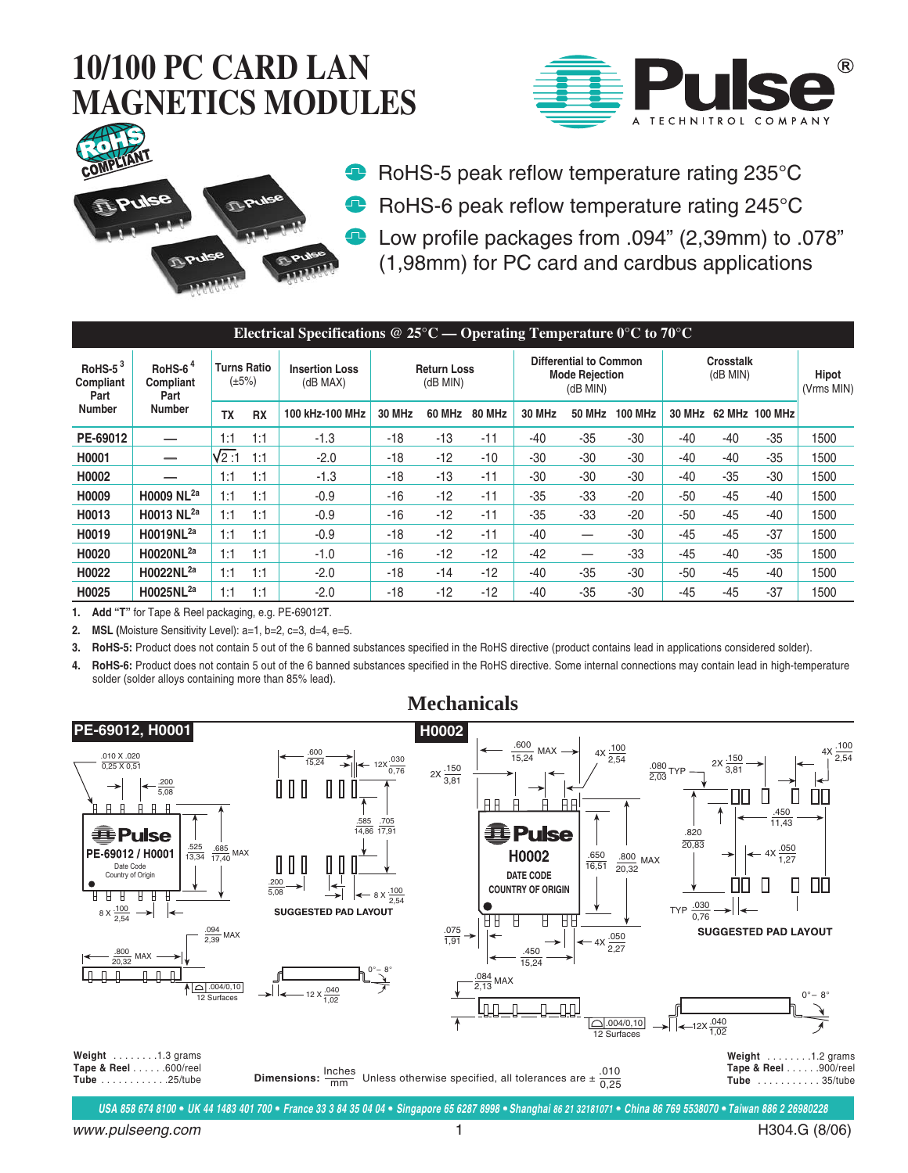



**RoHS-5 peak reflow temperature rating 235°C** RoHS-6 peak reflow temperature rating 245°C Low profile packages from .094" (2,39mm) to .078" (1,98mm) for PC card and cardbus applications

| Electrical Specifications @ $25^{\circ}$ C — Operating Temperature 0°C to 70°C |                                                  |                                   |           |                                   |                                |        |               |                                                                         |               |                |                            |       |                |                            |
|--------------------------------------------------------------------------------|--------------------------------------------------|-----------------------------------|-----------|-----------------------------------|--------------------------------|--------|---------------|-------------------------------------------------------------------------|---------------|----------------|----------------------------|-------|----------------|----------------------------|
| RoHS- $5^3$<br>Compliant<br>Part<br><b>Number</b>                              | RoHS- $64$<br>Compliant<br>Part<br><b>Number</b> | <b>Turns Ratio</b><br>$(\pm 5\%)$ |           | <b>Insertion Loss</b><br>(dB MAX) | <b>Return Loss</b><br>(dB MIN) |        |               | <b>Differential to Common</b><br><b>Mode Rejection</b><br>$(dB$ MIN $)$ |               |                | Crosstalk<br>$(dB$ MIN $)$ |       |                | <b>Hipot</b><br>(Vrms MIN) |
|                                                                                |                                                  | <b>TX</b>                         | <b>RX</b> | 100 kHz-100 MHz                   | <b>30 MHz</b>                  | 60 MHz | <b>80 MHz</b> | <b>30 MHz</b>                                                           | <b>50 MHz</b> | <b>100 MHz</b> | <b>30 MHz</b>              |       | 62 MHz 100 MHz |                            |
| PE-69012                                                                       |                                                  | 1:1                               | 1:1       | $-1.3$                            | -18                            | $-13$  | $-11$         | -40                                                                     | $-35$         | -30            | $-40$                      | $-40$ | $-35$          | 1500                       |
| H0001                                                                          | —                                                | V2:1                              | 1:1       | $-2.0$                            | $-18$                          | $-12$  | $-10$         | $-30$                                                                   | $-30$         | -30            | $-40$                      | $-40$ | $-35$          | 1500                       |
| H0002                                                                          |                                                  | 1:1                               | 1:1       | $-1.3$                            | -18                            | $-13$  | $-11$         | $-30$                                                                   | $-30$         | $-30$          | $-40$                      | $-35$ | -30            | 1500                       |
| H0009                                                                          | H0009 NL <sup>2a</sup>                           | 1:1                               | 1:1       | $-0.9$                            | $-16$                          | $-12$  | $-11$         | $-35$                                                                   | $-33$         | $-20$          | $-50$                      | $-45$ | $-40$          | 1500                       |
| H0013                                                                          | H0013 NL <sup>2a</sup>                           | 1:1                               | 1:1       | $-0.9$                            | -16                            | $-12$  | $-11$         | $-35$                                                                   | $-33$         | $-20$          | $-50$                      | $-45$ | $-40$          | 1500                       |
| H0019                                                                          | H0019NL <sup>2a</sup>                            | 1:1                               | 1:1       | $-0.9$                            | $-18$                          | $-12$  | $-11$         | $-40$                                                                   |               | -30            | $-45$                      | $-45$ | $-37$          | 1500                       |
| H0020                                                                          | H0020NL <sup>2a</sup>                            | 1:1                               | 1:1       | $-1.0$                            | -16                            | $-12$  | $-12$         | $-42$                                                                   |               | -33            | $-45$                      | -40   | $-35$          | 1500                       |
| H0022                                                                          | H0022NL <sup>2a</sup>                            | 1:1                               | 1:1       | $-2.0$                            | -18                            | $-14$  | $-12$         | -40                                                                     | $-35$         | -30            | -50                        | $-45$ | -40            | 1500                       |
| H0025                                                                          | H0025NL <sup>2a</sup>                            | 1:1                               | 1:1       | $-2.0$                            | -18                            | $-12$  | $-12$         | -40                                                                     | $-35$         | -30            | $-45$                      | -45   | $-37$          | 1500                       |

**1. Add "T"** for Tape & Reel packaging, e.g. PE-69012**T**.

**2. MSL (**Moisture Sensitivity Level): a=1, b=2, c=3, d=4, e=5.

**3. RoHS-5:** Product does not contain 5 out of the 6 banned substances specified in the RoHS directive (product contains lead in applications considered solder).

**4. RoHS-6:** Product does not contain 5 out of the 6 banned substances specified in the RoHS directive. Some internal connections may contain lead in high-temperature solder (solder alloys containing more than 85% lead).

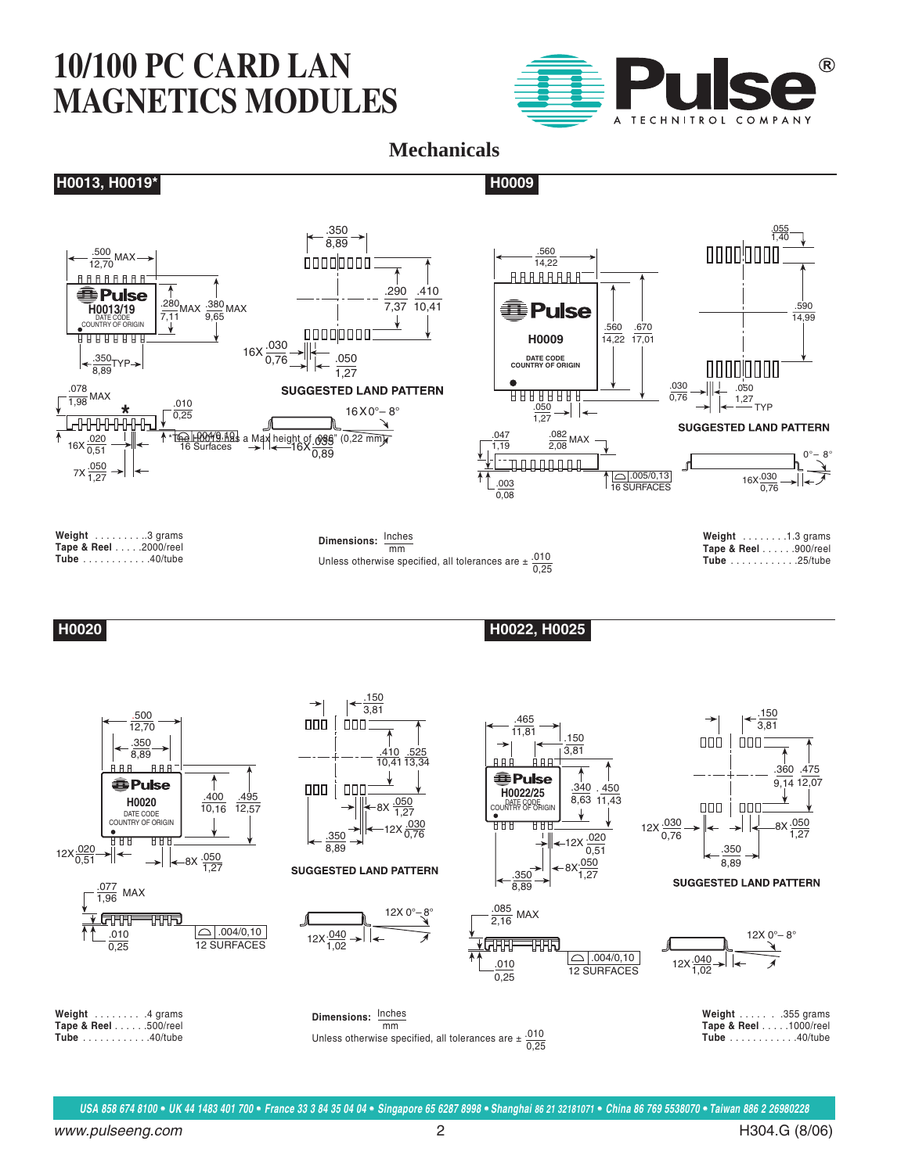

#### **Mechanicals**

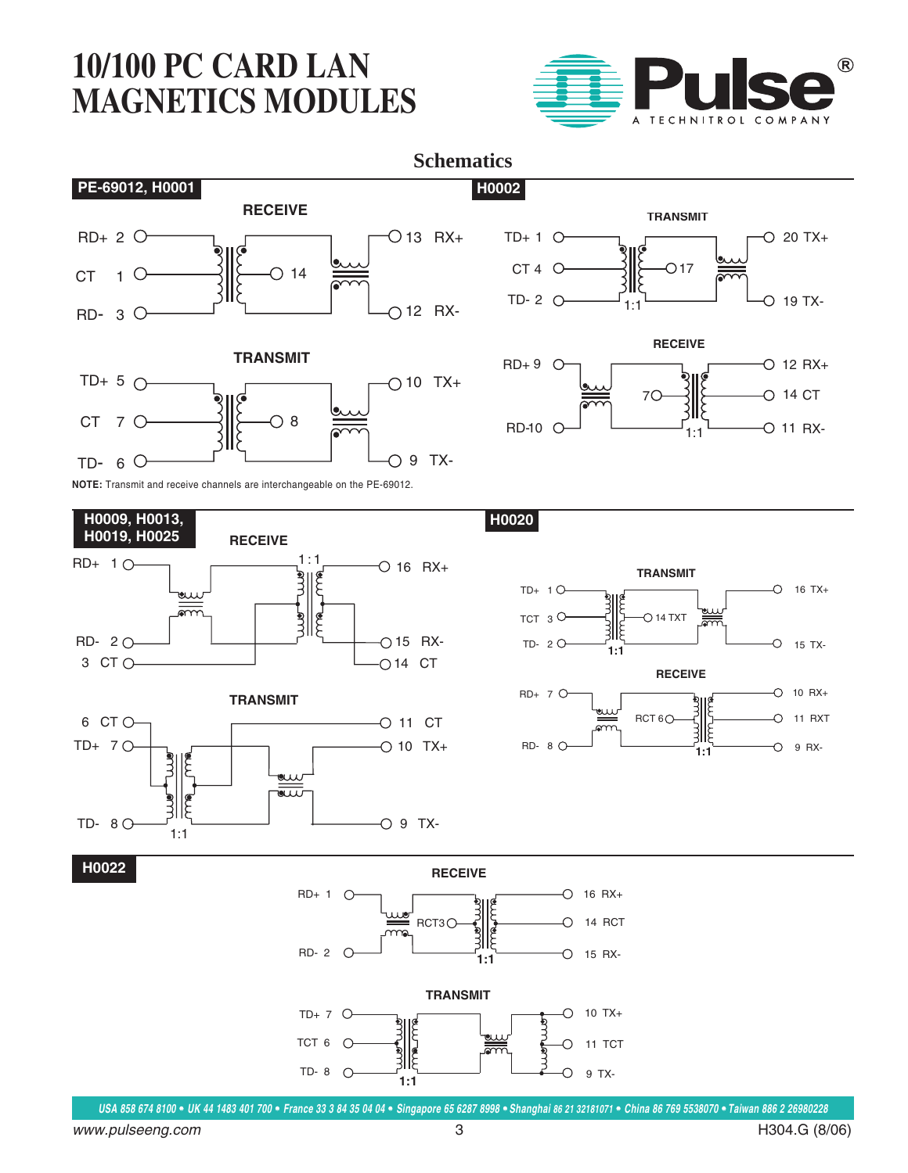



**H0009, H0013, H0019, H0025 RECEIVE**  $R$ D+ 1  $\circ$   $\qquad \qquad$   $\qquad \qquad$   $\qquad \qquad$   $\qquad$   $\qquad \qquad$   $\qquad \qquad$   $\qquad \qquad$   $\qquad \qquad$   $\qquad \qquad$   $\qquad \qquad$   $\qquad \qquad$   $\qquad \qquad$   $\qquad \qquad$   $\qquad \qquad$   $\qquad \qquad$   $\qquad \qquad$   $\qquad \qquad$   $\qquad \qquad$   $\qquad \qquad$   $\qquad \qquad$   $\qquad \qquad$   $\qquad \qquad$   $\qquad \qquad$   $\qquad$  $\circ$  16 RX+ ξ **BLUE** لى<br>كەرىك RD- 2 15 RX-3 CT O  $\qquad \qquad \qquad$   $\qquad \qquad$   $\qquad \qquad$   $\qquad \qquad$  O 14 CT **TRANSMIT** 6 CT O  $O$  11 CT



**H0020**



**H0022**



**USA 858 674 8100** • **UK 44 1483 401 700** • **France 33 3 84 35 04 04** • **Singapore 65 6287 8998** • **Shanghai 86 21 32181071** • **China 86 769 5538070** • **Taiwan 886 2 26980228**

www.pulseeng.com 3 H304.G (8/06)

 $1 - 1$ 

 $12 RX+$ 

19 TX-

20 TX+

 $11 RX-$